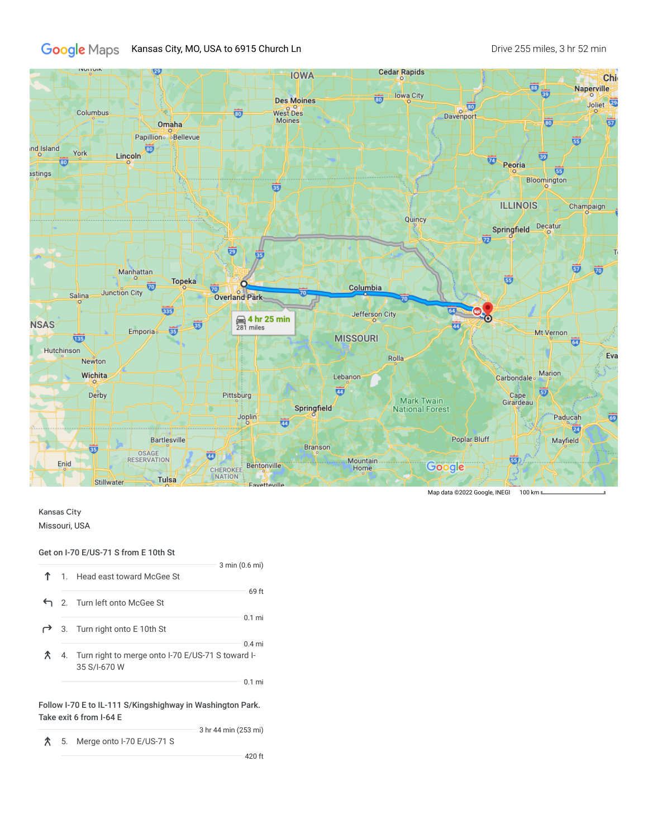## Google Maps Kansas City, MO, USA to 6915 Church Ln Dive 255 miles, 3 hr 52 min



Map data ©2022 Google, INEGI 100 km II

## Kansas City Missouri, USA

## Get on I-70 E/US-71 S from E 10th St

|  | $3 \text{ min} (0.6 \text{ mi})$<br>1. Head east toward McGee St                 |  |
|--|----------------------------------------------------------------------------------|--|
|  | 69 ft<br>← 2. Turn left onto McGee St                                            |  |
|  | $0.1$ mi<br>3. Turn right onto E 10th St                                         |  |
|  | $0.4$ mi<br>4. Turn right to merge onto I-70 E/US-71 S toward I-<br>35 S/I-670 W |  |
|  | $0.1 \text{ mi}$                                                                 |  |

Follow I-70 E to IL-111 S/Kingshighway in Washington Park. Take exit 6 from I-64 E

3 hr 44 min (253 mi)

```
5. Merge onto I-70 E/US-71 S
```